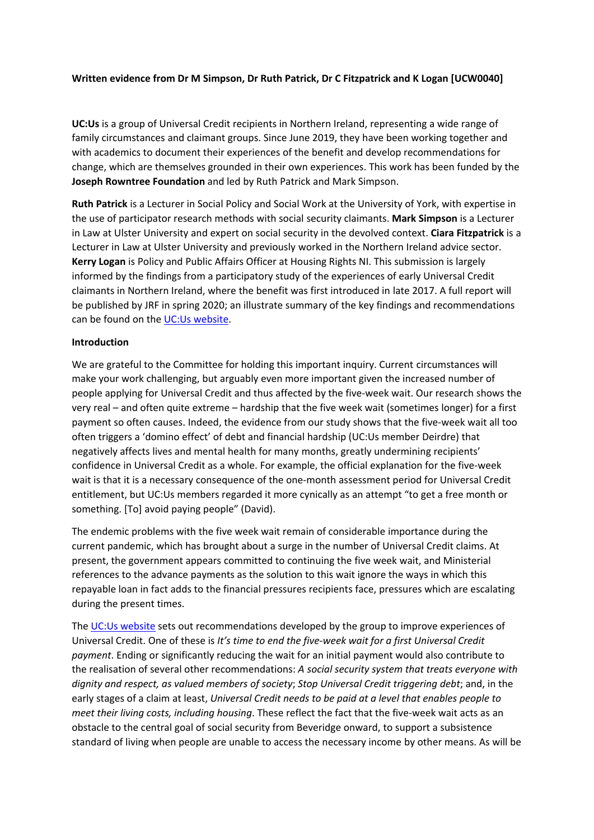## **Written evidence from Dr M Simpson, Dr Ruth Patrick, Dr C Fitzpatrick and K Logan [UCW0040]**

**UC:Us** is a group of Universal Credit recipients in Northern Ireland, representing a wide range of family circumstances and claimant groups. Since June 2019, they have been working together and with academics to document their experiences of the benefit and develop recommendations for change, which are themselves grounded in their own experiences. This work has been funded by the **Joseph Rowntree Foundation** and led by Ruth Patrick and Mark Simpson.

**Ruth Patrick** is a Lecturer in Social Policy and Social Work at the University of York, with expertise in the use of participator research methods with social security claimants. **Mark Simpson** is a Lecturer in Law at Ulster University and expert on social security in the devolved context. **Ciara Fitzpatrick** is a Lecturer in Law at Ulster University and previously worked in the Northern Ireland advice sector. **Kerry Logan** is Policy and Public Affairs Officer at Housing Rights NI. This submission is largely informed by the findings from a participatory study of the experiences of early Universal Credit claimants in Northern Ireland, where the benefit was first introduced in late 2017. A full report will be published by JRF in spring 2020; an illustrate summary of the key findings and recommendations can be found on the [UC:Us](http://www.ucus.org.uk/) [website](http://www.ucus.org.uk/).

#### **Introduction**

We are grateful to the Committee for holding this important inquiry. Current circumstances will make your work challenging, but arguably even more important given the increased number of people applying for Universal Credit and thus affected by the five-week wait. Our research shows the very real – and often quite extreme – hardship that the five week wait (sometimes longer) for a first payment so often causes. Indeed, the evidence from our study shows that the five-week wait all too often triggers a 'domino effect' of debt and financial hardship (UC:Us member Deirdre) that negatively affects lives and mental health for many months, greatly undermining recipients' confidence in Universal Credit as a whole. For example, the official explanation for the five-week wait is that it is a necessary consequence of the one-month assessment period for Universal Credit entitlement, but UC:Us members regarded it more cynically as an attempt "to get a free month or something. [To] avoid paying people" (David).

The endemic problems with the five week wait remain of considerable importance during the current pandemic, which has brought about a surge in the number of Universal Credit claims. At present, the government appears committed to continuing the five week wait, and Ministerial references to the advance payments as the solution to this wait ignore the ways in which this repayable loan in fact adds to the financial pressures recipients face, pressures which are escalating during the present times.

The [UC:Us](http://www.ucus.org.uk/) [website](http://www.ucus.org.uk/) sets out recommendations developed by the group to improve experiences of Universal Credit. One of these is *It's time to end the five-week wait for a first Universal Credit payment*. Ending or significantly reducing the wait for an initial payment would also contribute to the realisation of several other recommendations: *A social security system that treats everyone with dignity and respect, as valued members of society*; *Stop Universal Credit triggering debt*; and, in the early stages of a claim at least, *Universal Credit needs to be paid at a level that enables people to meet their living costs, including housing*. These reflect the fact that the five-week wait acts as an obstacle to the central goal of social security from Beveridge onward, to support a subsistence standard of living when people are unable to access the necessary income by other means. As will be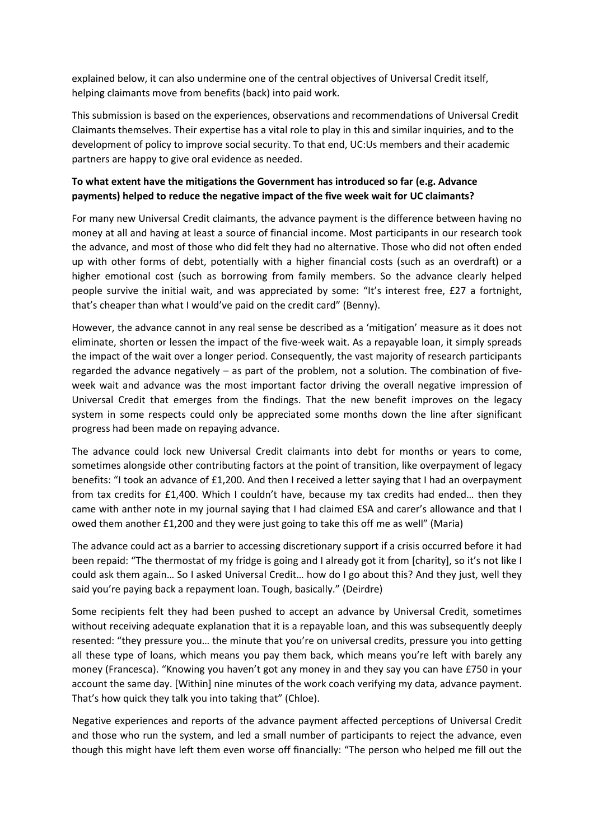explained below, it can also undermine one of the central objectives of Universal Credit itself, helping claimants move from benefits (back) into paid work.

This submission is based on the experiences, observations and recommendations of Universal Credit Claimants themselves. Their expertise has a vital role to play in this and similar inquiries, and to the development of policy to improve social security. To that end, UC:Us members and their academic partners are happy to give oral evidence as needed.

# **To what extent have the mitigations the Government has introduced so far (e.g. Advance payments) helped to reduce the negative impact of the five week wait for UC claimants?**

For many new Universal Credit claimants, the advance payment is the difference between having no money at all and having at least a source of financial income. Most participants in our research took the advance, and most of those who did felt they had no alternative. Those who did not often ended up with other forms of debt, potentially with a higher financial costs (such as an overdraft) or a higher emotional cost (such as borrowing from family members. So the advance clearly helped people survive the initial wait, and was appreciated by some: "It's interest free, £27 a fortnight, that's cheaper than what I would've paid on the credit card" (Benny).

However, the advance cannot in any real sense be described as a 'mitigation' measure as it does not eliminate, shorten or lessen the impact of the five-week wait. As a repayable loan, it simply spreads the impact of the wait over a longer period. Consequently, the vast majority of research participants regarded the advance negatively – as part of the problem, not a solution. The combination of fiveweek wait and advance was the most important factor driving the overall negative impression of Universal Credit that emerges from the findings. That the new benefit improves on the legacy system in some respects could only be appreciated some months down the line after significant progress had been made on repaying advance.

The advance could lock new Universal Credit claimants into debt for months or years to come, sometimes alongside other contributing factors at the point of transition, like overpayment of legacy benefits: "I took an advance of £1,200. And then I received a letter saying that I had an overpayment from tax credits for £1,400. Which I couldn't have, because my tax credits had ended… then they came with anther note in my journal saying that I had claimed ESA and carer's allowance and that I owed them another £1,200 and they were just going to take this off me as well" (Maria)

The advance could act as a barrier to accessing discretionary support if a crisis occurred before it had been repaid: "The thermostat of my fridge is going and I already got it from [charity], so it's not like I could ask them again… So I asked Universal Credit… how do I go about this? And they just, well they said you're paying back a repayment loan. Tough, basically." (Deirdre)

Some recipients felt they had been pushed to accept an advance by Universal Credit, sometimes without receiving adequate explanation that it is a repayable loan, and this was subsequently deeply resented: "they pressure you… the minute that you're on universal credits, pressure you into getting all these type of loans, which means you pay them back, which means you're left with barely any money (Francesca). "Knowing you haven't got any money in and they say you can have £750 in your account the same day. [Within] nine minutes of the work coach verifying my data, advance payment. That's how quick they talk you into taking that" (Chloe).

Negative experiences and reports of the advance payment affected perceptions of Universal Credit and those who run the system, and led a small number of participants to reject the advance, even though this might have left them even worse off financially: "The person who helped me fill out the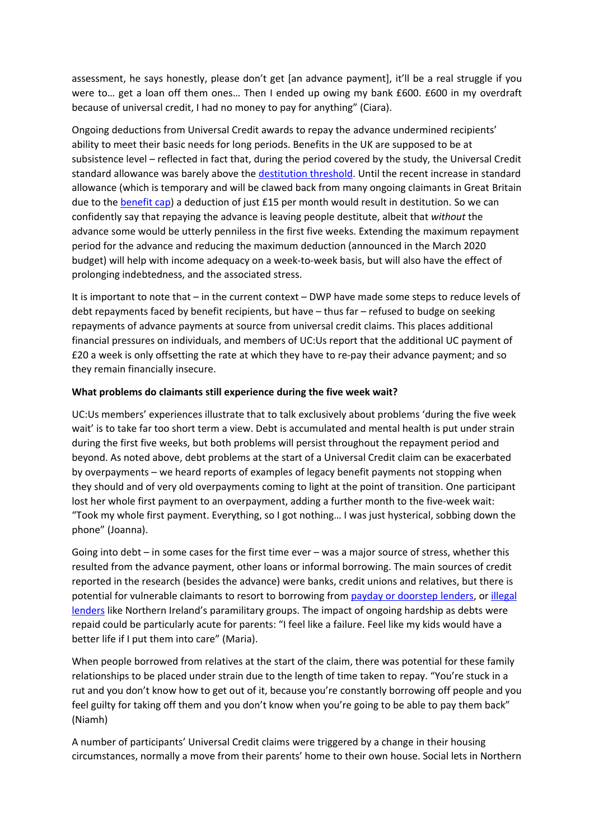assessment, he says honestly, please don't get [an advance payment], it'll be a real struggle if you were to… get a loan off them ones… Then I ended up owing my bank £600. £600 in my overdraft because of universal credit, I had no money to pay for anything" (Ciara).

Ongoing deductions from Universal Credit awards to repay the advance undermined recipients' ability to meet their basic needs for long periods. Benefits in the UK are supposed to be at subsistence level – reflected in fact that, during the period covered by the study, the Universal Credit standard allowance was barely above the [destitution](https://www.jrf.org.uk/report/destitution-uk-2018) [threshold.](https://www.jrf.org.uk/report/destitution-uk-2018) Until the recent increase in standard allowance (which is temporary and will be clawed back from many ongoing claimants in Great Britain due to the [benefit](https://discoversociety.org/2020/04/02/the-social-security-response-to-covid-19-read-the-small-print/) [cap](https://discoversociety.org/2020/04/02/the-social-security-response-to-covid-19-read-the-small-print/)) a deduction of just £15 per month would result in destitution. So we can confidently say that repaying the advance is leaving people destitute, albeit that *without* the advance some would be utterly penniless in the first five weeks. Extending the maximum repayment period for the advance and reducing the maximum deduction (announced in the March 2020 budget) will help with income adequacy on a week-to-week basis, but will also have the effect of prolonging indebtedness, and the associated stress.

It is important to note that – in the current context – DWP have made some steps to reduce levels of debt repayments faced by benefit recipients, but have – thus far – refused to budge on seeking repayments of advance payments at source from universal credit claims. This places additional financial pressures on individuals, and members of UC:Us report that the additional UC payment of £20 a week is only offsetting the rate at which they have to re-pay their advance payment; and so they remain financially insecure.

## **What problems do claimants still experience during the five week wait?**

UC:Us members' experiences illustrate that to talk exclusively about problems 'during the five week wait' is to take far too short term a view. Debt is accumulated and mental health is put under strain during the first five weeks, but both problems will persist throughout the repayment period and beyond. As noted above, debt problems at the start of a Universal Credit claim can be exacerbated by overpayments – we heard reports of examples of legacy benefit payments not stopping when they should and of very old overpayments coming to light at the point of transition. One participant lost her whole first payment to an overpayment, adding a further month to the five-week wait: "Took my whole first payment. Everything, so I got nothing… I was just hysterical, sobbing down the phone" (Joanna).

Going into debt – in some cases for the first time ever – was a major source of stress, whether this resulted from the advance payment, other loans or informal borrowing. The main sources of credit reported in the research (besides the advance) were banks, credit unions and relatives, but there is potential for vulnerable claimants to resort to borrowing from [payday](https://research.thelegaleducationfoundation.org/research-learning/funded-research/executive-summary-destitution-and-paths-to-justice) [or](https://research.thelegaleducationfoundation.org/research-learning/funded-research/executive-summary-destitution-and-paths-to-justice) [doorstep](https://research.thelegaleducationfoundation.org/research-learning/funded-research/executive-summary-destitution-and-paths-to-justice) [lenders,](https://research.thelegaleducationfoundation.org/research-learning/funded-research/executive-summary-destitution-and-paths-to-justice) or [illegal](https://www.consumercouncil.org.uk/sites/default/files/2018-08/Research%20Report%20-Lending%20and%20Debt%20in%20NI.pdf) [lenders](https://www.consumercouncil.org.uk/sites/default/files/2018-08/Research%20Report%20-Lending%20and%20Debt%20in%20NI.pdf) like Northern Ireland's paramilitary groups. The impact of ongoing hardship as debts were repaid could be particularly acute for parents: "I feel like a failure. Feel like my kids would have a better life if I put them into care" (Maria).

When people borrowed from relatives at the start of the claim, there was potential for these family relationships to be placed under strain due to the length of time taken to repay. "You're stuck in a rut and you don't know how to get out of it, because you're constantly borrowing off people and you feel guilty for taking off them and you don't know when you're going to be able to pay them back" (Niamh)

A number of participants' Universal Credit claims were triggered by a change in their housing circumstances, normally a move from their parents' home to their own house. Social lets in Northern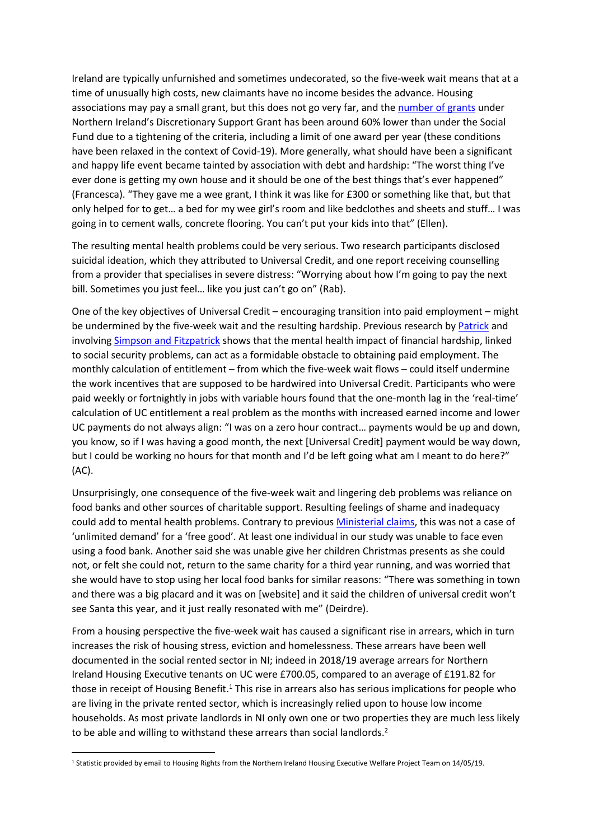Ireland are typically unfurnished and sometimes undecorated, so the five-week wait means that at a time of unusually high costs, new claimants have no income besides the advance. Housing associations may pay a small grant, but this does not go very far, and the [number](https://www.niauditoffice.gov.uk/sites/niao/files/media-files/Welfare%20Reform%20Report%202019.pdf) [of](https://www.niauditoffice.gov.uk/sites/niao/files/media-files/Welfare%20Reform%20Report%202019.pdf) [grants](https://www.niauditoffice.gov.uk/sites/niao/files/media-files/Welfare%20Reform%20Report%202019.pdf) under Northern Ireland's Discretionary Support Grant has been around 60% lower than under the Social Fund due to a tightening of the criteria, including a limit of one award per year (these conditions have been relaxed in the context of Covid-19). More generally, what should have been a significant and happy life event became tainted by association with debt and hardship: "The worst thing I've ever done is getting my own house and it should be one of the best things that's ever happened" (Francesca). "They gave me a wee grant, I think it was like for £300 or something like that, but that only helped for to get… a bed for my wee girl's room and like bedclothes and sheets and stuff… I was going in to cement walls, concrete flooring. You can't put your kids into that" (Ellen).

The resulting mental health problems could be very serious. Two research participants disclosed suicidal ideation, which they attributed to Universal Credit, and one report receiving counselling from a provider that specialises in severe distress: "Worrying about how I'm going to pay the next bill. Sometimes you just feel… like you just can't go on" (Rab).

One of the key objectives of Universal Credit – encouraging transition into paid employment – might be undermined by the five-week wait and the resulting hardship. Previous research by [Patrick](https://policy.bristoluniversitypress.co.uk/for-whose-benefit) and involving [Simpson](https://research.thelegaleducationfoundation.org/research-learning/funded-research/executive-summary-destitution-and-paths-to-justice) [and](https://research.thelegaleducationfoundation.org/research-learning/funded-research/executive-summary-destitution-and-paths-to-justice) [Fitzpatrick](https://research.thelegaleducationfoundation.org/research-learning/funded-research/executive-summary-destitution-and-paths-to-justice) shows that the mental health impact of financial hardship, linked to social security problems, can act as a formidable obstacle to obtaining paid employment. The monthly calculation of entitlement – from which the five-week wait flows – could itself undermine the work incentives that are supposed to be hardwired into Universal Credit. Participants who were paid weekly or fortnightly in jobs with variable hours found that the one-month lag in the 'real-time' calculation of UC entitlement a real problem as the months with increased earned income and lower UC payments do not always align: "I was on a zero hour contract… payments would be up and down, you know, so if I was having a good month, the next [Universal Credit] payment would be way down, but I could be working no hours for that month and I'd be left going what am I meant to do here?" (AC).

Unsurprisingly, one consequence of the five-week wait and lingering deb problems was reliance on food banks and other sources of charitable support. Resulting feelings of shame and inadequacy could add to mental health problems. Contrary to previous [Ministerial](https://www.independent.co.uk/news/uk/politics/demand-for-food-banks-has-nothing-to-do-with-benefits-squeeze-says-work-minister-lord-freud-8684005.html) [claims,](https://www.independent.co.uk/news/uk/politics/demand-for-food-banks-has-nothing-to-do-with-benefits-squeeze-says-work-minister-lord-freud-8684005.html) this was not a case of 'unlimited demand' for a 'free good'. At least one individual in our study was unable to face even using a food bank. Another said she was unable give her children Christmas presents as she could not, or felt she could not, return to the same charity for a third year running, and was worried that she would have to stop using her local food banks for similar reasons: "There was something in town and there was a big placard and it was on [website] and it said the children of universal credit won't see Santa this year, and it just really resonated with me" (Deirdre).

From a housing perspective the five-week wait has caused a significant rise in arrears, which in turn increases the risk of housing stress, eviction and homelessness. These arrears have been well documented in the social rented sector in NI; indeed in 2018/19 average arrears for Northern Ireland Housing Executive tenants on UC were £700.05, compared to an average of £191.82 for those in receipt of Housing Benefit.<sup>1</sup> This rise in arrears also has serious implications for people who are living in the private rented sector, which is increasingly relied upon to house low income households. As most private landlords in NI only own one or two properties they are much less likely to be able and willing to withstand these arrears than social landlords.<sup>2</sup>

<sup>1</sup> Statistic provided by email to Housing Rights from the Northern Ireland Housing Executive Welfare Project Team on 14/05/19.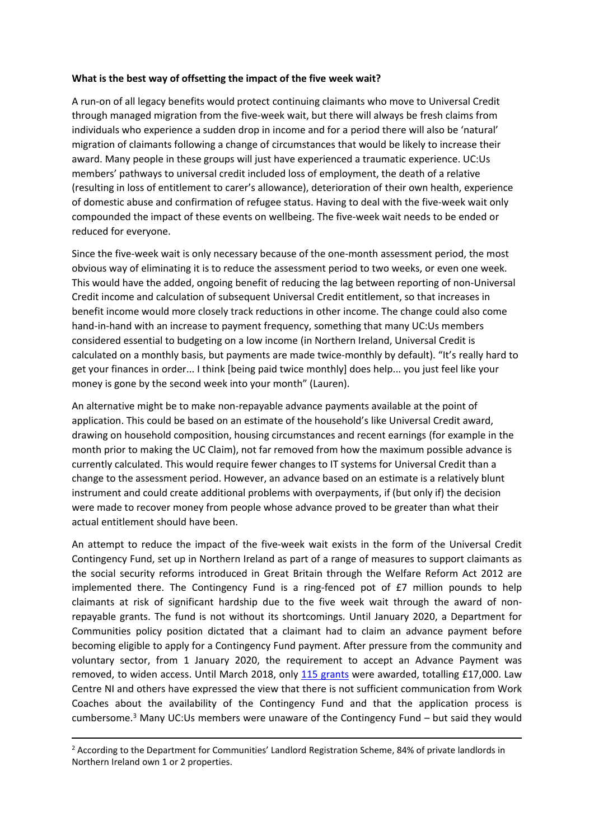#### **What is the best way of offsetting the impact of the five week wait?**

A run-on of all legacy benefits would protect continuing claimants who move to Universal Credit through managed migration from the five-week wait, but there will always be fresh claims from individuals who experience a sudden drop in income and for a period there will also be 'natural' migration of claimants following a change of circumstances that would be likely to increase their award. Many people in these groups will just have experienced a traumatic experience. UC:Us members' pathways to universal credit included loss of employment, the death of a relative (resulting in loss of entitlement to carer's allowance), deterioration of their own health, experience of domestic abuse and confirmation of refugee status. Having to deal with the five-week wait only compounded the impact of these events on wellbeing. The five-week wait needs to be ended or reduced for everyone.

Since the five-week wait is only necessary because of the one-month assessment period, the most obvious way of eliminating it is to reduce the assessment period to two weeks, or even one week. This would have the added, ongoing benefit of reducing the lag between reporting of non-Universal Credit income and calculation of subsequent Universal Credit entitlement, so that increases in benefit income would more closely track reductions in other income. The change could also come hand-in-hand with an increase to payment frequency, something that many UC:Us members considered essential to budgeting on a low income (in Northern Ireland, Universal Credit is calculated on a monthly basis, but payments are made twice-monthly by default). "It's really hard to get your finances in order... I think [being paid twice monthly] does help... you just feel like your money is gone by the second week into your month" (Lauren).

An alternative might be to make non-repayable advance payments available at the point of application. This could be based on an estimate of the household's like Universal Credit award, drawing on household composition, housing circumstances and recent earnings (for example in the month prior to making the UC Claim), not far removed from how the maximum possible advance is currently calculated. This would require fewer changes to IT systems for Universal Credit than a change to the assessment period. However, an advance based on an estimate is a relatively blunt instrument and could create additional problems with overpayments, if (but only if) the decision were made to recover money from people whose advance proved to be greater than what their actual entitlement should have been.

An attempt to reduce the impact of the five-week wait exists in the form of the Universal Credit Contingency Fund, set up in Northern Ireland as part of a range of measures to support claimants as the social security reforms introduced in Great Britain through the Welfare Reform Act 2012 are implemented there. The Contingency Fund is a ring-fenced pot of £7 million pounds to help claimants at risk of significant hardship due to the five week wait through the award of nonrepayable grants. The fund is not without its shortcomings. Until January 2020, a Department for Communities policy position dictated that a claimant had to claim an advance payment before becoming eligible to apply for a Contingency Fund payment. After pressure from the community and voluntary sector, from 1 January 2020, the requirement to accept an Advance Payment was removed, to widen access. Until March 2018, only [115](https://www.niauditoffice.gov.uk/sites/niao/files/media-files/Welfare%20Reform%20Report%202019.pdf) [grants](https://www.niauditoffice.gov.uk/sites/niao/files/media-files/Welfare%20Reform%20Report%202019.pdf) were awarded, totalling £17,000. Law Centre NI and others have expressed the view that there is not sufficient communication from Work Coaches about the availability of the Contingency Fund and that the application process is cumbersome.<sup>3</sup> Many UC:Us members were unaware of the Contingency Fund – but said they would

<sup>2</sup> According to the Department for Communities' Landlord Registration Scheme, 84% of private landlords in Northern Ireland own 1 or 2 properties.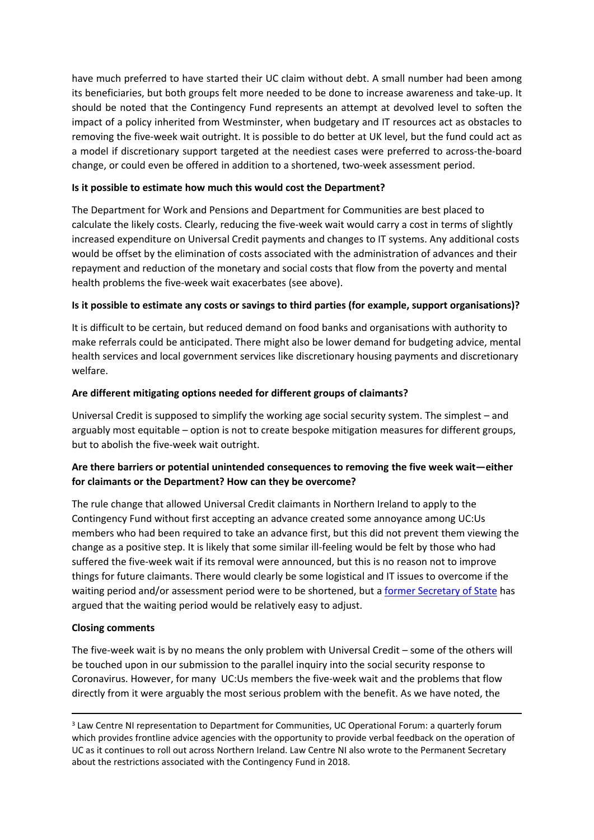have much preferred to have started their UC claim without debt. A small number had been among its beneficiaries, but both groups felt more needed to be done to increase awareness and take-up. It should be noted that the Contingency Fund represents an attempt at devolved level to soften the impact of a policy inherited from Westminster, when budgetary and IT resources act as obstacles to removing the five-week wait outright. It is possible to do better at UK level, but the fund could act as a model if discretionary support targeted at the neediest cases were preferred to across-the-board change, or could even be offered in addition to a shortened, two-week assessment period.

# **Is it possible to estimate how much this would cost the Department?**

The Department for Work and Pensions and Department for Communities are best placed to calculate the likely costs. Clearly, reducing the five-week wait would carry a cost in terms of slightly increased expenditure on Universal Credit payments and changes to IT systems. Any additional costs would be offset by the elimination of costs associated with the administration of advances and their repayment and reduction of the monetary and social costs that flow from the poverty and mental health problems the five-week wait exacerbates (see above).

## **Is it possible to estimate any costs or savings to third parties (for example, support organisations)?**

It is difficult to be certain, but reduced demand on food banks and organisations with authority to make referrals could be anticipated. There might also be lower demand for budgeting advice, mental health services and local government services like discretionary housing payments and discretionary welfare.

## **Are different mitigating options needed for different groups of claimants?**

Universal Credit is supposed to simplify the working age social security system. The simplest – and arguably most equitable – option is not to create bespoke mitigation measures for different groups, but to abolish the five-week wait outright.

# **Are there barriers or potential unintended consequences to removing the five week wait—either for claimants or the Department? How can they be overcome?**

The rule change that allowed Universal Credit claimants in Northern Ireland to apply to the Contingency Fund without first accepting an advance created some annoyance among UC:Us members who had been required to take an advance first, but this did not prevent them viewing the change as a positive step. It is likely that some similar ill-feeling would be felt by those who had suffered the five-week wait if its removal were announced, but this is no reason not to improve things for future claimants. There would clearly be some logistical and IT issues to overcome if the waiting period and/or assessment period were to be shortened, but a [former](https://www.iainduncansmith.org.uk/content/sir-iain-duncan-smith-calls-government-make-use-flexibility-universal-credit-help-those-work) [Secretary](https://www.iainduncansmith.org.uk/content/sir-iain-duncan-smith-calls-government-make-use-flexibility-universal-credit-help-those-work) [of](https://www.iainduncansmith.org.uk/content/sir-iain-duncan-smith-calls-government-make-use-flexibility-universal-credit-help-those-work) [State](https://www.iainduncansmith.org.uk/content/sir-iain-duncan-smith-calls-government-make-use-flexibility-universal-credit-help-those-work) has argued that the waiting period would be relatively easy to adjust.

# **Closing comments**

The five-week wait is by no means the only problem with Universal Credit – some of the others will be touched upon in our submission to the parallel inquiry into the social security response to Coronavirus. However, for many UC:Us members the five-week wait and the problems that flow directly from it were arguably the most serious problem with the benefit. As we have noted, the

<sup>&</sup>lt;sup>3</sup> Law Centre NI representation to Department for Communities, UC Operational Forum: a quarterly forum which provides frontline advice agencies with the opportunity to provide verbal feedback on the operation of UC as it continues to roll out across Northern Ireland. Law Centre NI also wrote to the Permanent Secretary about the restrictions associated with the Contingency Fund in 2018.